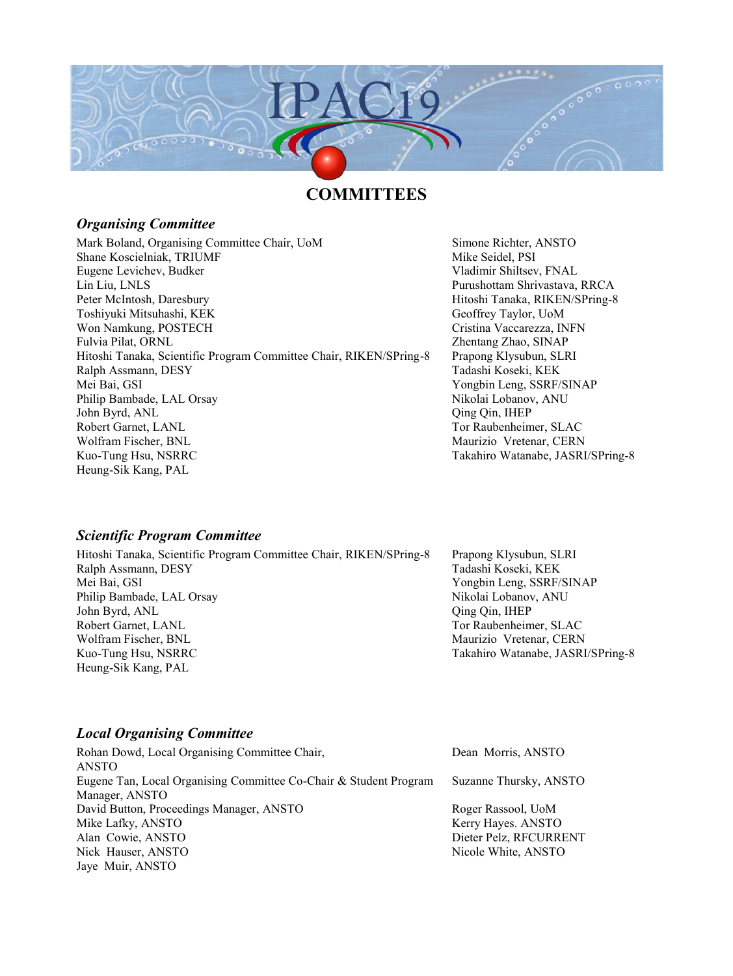

# **COMMITTEES**

### *Organising Committee*

Mark Boland, Organising Committee Chair, UoM Simone Richter, ANSTO Shane Koscielniak, TRIUMF Mike Seidel, PSI Eugene Levichev, Budker Vladimir Shiltsev, FNAL Lin Liu, LNLS<br>
Purushottam Shrivastava, RRCA<br>
Peter McIntosh, Daresbury<br>
Purushottam Shrivastava, RRCA<br>
Hitoshi Tanaka, RIKEN/SPring-8 Toshiyuki Mitsuhashi, KEK Geoffrey Taylor, UoM Won Namkung, POSTECH Cristina Vaccarezza, INFN Fulvia Pilat, ORNL Zhentang Zhao, SINAP Hitoshi Tanaka, Scientific Program Committee Chair, RIKEN/SPring-8 Prapong Klysubun, SLRI Ralph Assmann, DESY Tadashi Koseki, KEK Mei Bai, GSI Yongbin Leng, SSRF/SINAP Philip Bambade, LAL Orsay Nikolai Lobanov, ANU John Byrd, ANL Qing Qin, IHEP Wolfram Fischer, BNL Maurizio Vretenar, CERN Kuo-Tung Hsu, NSRRC Takahiro Watanabe, JASRI/SPring-8 Heung-Sik Kang, PAL

# Hitoshi Tanaka, RIKEN/SPring-8 Tor Raubenheimer, SLAC

## *Scientific Program Committee*

| Hitoshi Tanaka, Scientific Program Committee Chair, RIKEN/SPring-8 |
|--------------------------------------------------------------------|
| Ralph Assmann, DESY                                                |
| Mei Bai, GSI                                                       |
| Philip Bambade, LAL Orsay                                          |
| John Byrd, ANL                                                     |
| Robert Garnet, LANL                                                |
| Wolfram Fischer, BNL                                               |
| Kuo-Tung Hsu, NSRRC                                                |
| Heung-Sik Kang, PAL                                                |

Prapong Klysubun, SLRI Tadashi Koseki, KEK Yongbin Leng, SSRF/SINAP Nikolai Lobanov, ANU Qing Qin, IHEP Tor Raubenheimer, SLAC Maurizio Vretenar, CERN Takahiro Watanabe, JASRI/SPring-8

## *Local Organising Committee*

| Rohan Dowd, Local Organising Committee Chair,                     | Dean Morris, ANSTO     |
|-------------------------------------------------------------------|------------------------|
| ANSTO                                                             |                        |
| Eugene Tan, Local Organising Committee Co-Chair & Student Program | Suzanne Thursky, ANSTO |
| Manager, ANSTO                                                    |                        |
| David Button, Proceedings Manager, ANSTO                          | Roger Rassool, UoM     |
| Mike Lafky, ANSTO                                                 | Kerry Hayes. ANSTO     |
| Alan Cowie, ANSTO                                                 | Dieter Pelz, RFCURRENT |
| Nick Hauser, ANSTO                                                | Nicole White, ANSTO    |
| Jaye Muir, ANSTO                                                  |                        |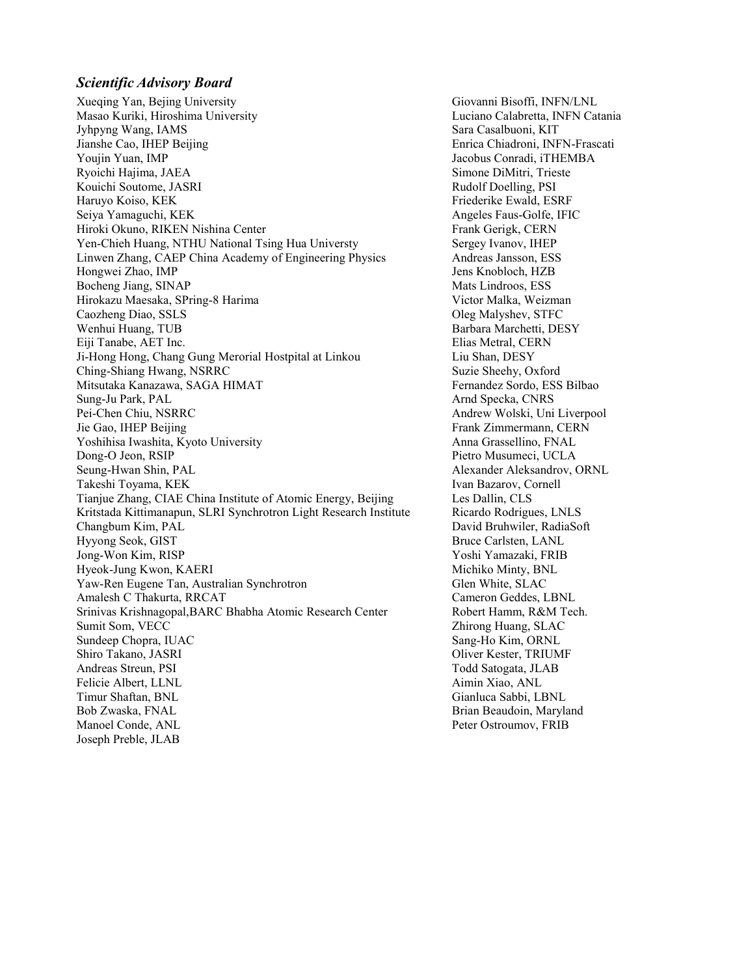### *Scientific Advisory Board*

Xueqing Yan, Bejing University Giovanni Bisoffi, INFN/LNL Masao Kuriki, Hiroshima University Luciano Calabretta, INFN Catania Jyhpyng Wang, IAMS<br>
Jianshe Cao, IHEP Beijing<br>
Sara Casalbuoni, KIT<br>
Enrica Chiadroni, INE Youjin Yuan, IMP Jacobus Conradi, iTHEMBA Ryoichi Hajima, JAEA Simone DiMitri, Trieste Kouichi Soutome, JASRI Rudolf Doelling, PSI Haruyo Koiso, KEK Friederike Ewald, ESRF Seiya Yamaguchi, KEK Angeles Faus-Golfe, IFIC Hiroki Okuno, RIKEN Nishina Center Frank Gerigk, CERN Frank Gerigk, CERN Yen-Chieh Huang, NTHU National Tsing Hua Universty Sergey Ivanov, IHEP Linwen Zhang, CAEP China Academy of Engineering Physics Andreas Jansson, ESS Hongwei Zhao, IMP Bocheng Jiang, SINAP Mats Lindroos, ESS Hirokazu Maesaka, SPring-8 Harima<br>
Caozheng Diao, SSLS<br>
Oleg Malyshev, STFC Wenhui Huang, TUB Barbara Marchetti, DESY Eiji Tanabe, AET Inc. **Elias Metral, CERN** Ji-Hong Hong, Chang Gung Merorial Hostpital at Linkou Liu Shan, DESY Ching-Shiang Hwang, NSRRC Suzie Sheehy, Oxford Mitsutaka Kanazawa, SAGA HIMAT Fernandez Sordo, ESS Bilbao Sung-Ju Park, PAL Arnd Specka, CNRS Pei-Chen Chiu, NSRRC Andrew Wolski, Uni Liverpool Jie Gao, IHEP Beijing Frank Zimmermann, CERN Yoshihisa Iwashita, Kyoto University Anna Grassellino, FNAL Dong-O Jeon, RSIP Pietro Musumeci, UCLA Seung-Hwan Shin, PAL Alexander Aleksandrov, ORNL Takeshi Toyama, KEK Ivan Bazarov, Cornell Tianjue Zhang, CIAE China Institute of Atomic Energy, Beijing Les Dallin, CLS Kritstada Kittimanapun, SLRI Synchrotron Light Research Institute Ricardo Rodrigues, LNLS Changbum Kim, PAL David Bruhwiler, RadiaSoft Hyyong Seok, GIST Bruce Carlsten, LANL Jong-Won Kim, RISP Yoshi Yamazaki, FRIB Hyeok-Jung Kwon, KAERI Michiko Minty, BNL Yaw-Ren Eugene Tan, Australian Synchrotron Glen White, SLAC Amalesh C Thakurta, RRCAT Cameron Geddes, LBNL Srinivas Krishnagopal,BARC Bhabha Atomic Research Center Robert Hamm, R&M Tech. Sumit Som, VECC Zhirong Huang, SLAC Sundeep Chopra, IUAC Sang-Ho Kim, ORNL Shiro Takano, JASRI Oliver Kester, TRIUMF Andreas Streun, PSI Todd Satogata, JLAB Felicie Albert, LLNL and Aimin Xiao, ANL and Aimin Xiao, ANL Timur Shaftan, BNL Gianluca Sabbi, LBNL Bob Zwaska, FNAL Brian Beaudoin, Maryland Manoel Conde, ANL Peter Ostroumov, FRIB Joseph Preble, JLAB

Enrica Chiadroni, INFN-Frascati Oleg Malyshev, STFC